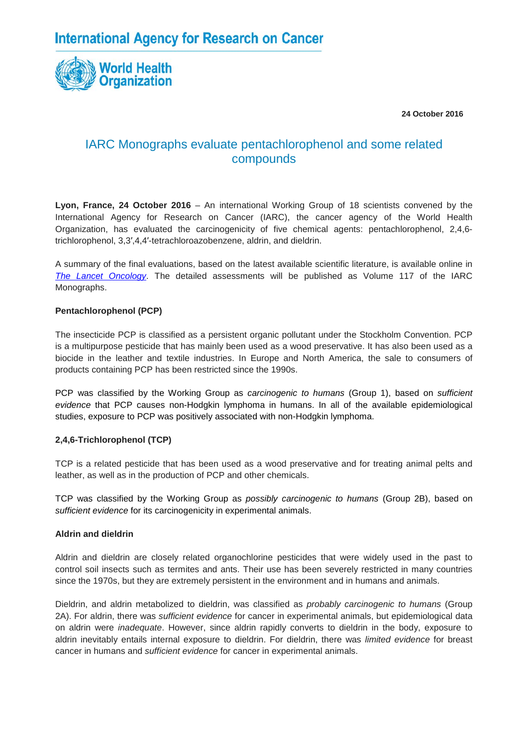

 **24 October 2016**

# IARC Monographs evaluate pentachlorophenol and some related compounds

**Lyon, France, 24 October 2016** – An international Working Group of 18 scientists convened by the International Agency for Research on Cancer (IARC), the cancer agency of the World Health Organization, has evaluated the carcinogenicity of five chemical agents: pentachlorophenol, 2,4,6 trichlorophenol, 3,3′,4,4′-tetrachloroazobenzene, aldrin, and dieldrin.

A summary of the final evaluations, based on the latest available scientific literature, is available online in *[The Lancet Oncology](http://www.thelancet.com/journals/lanonc/article/PIIS1470-2045(16)30513-7/fulltext)*. The detailed assessments will be published as Volume 117 of the IARC Monographs.

#### **Pentachlorophenol (PCP)**

The insecticide PCP is classified as a persistent organic pollutant under the Stockholm Convention. PCP is a multipurpose pesticide that has mainly been used as a wood preservative. It has also been used as a biocide in the leather and textile industries. In Europe and North America, the sale to consumers of products containing PCP has been restricted since the 1990s.

PCP was classified by the Working Group as *carcinogenic to humans* (Group 1), based on *sufficient evidence* that PCP causes non-Hodgkin lymphoma in humans. In all of the available epidemiological studies, exposure to PCP was positively associated with non-Hodgkin lymphoma.

### **2,4,6-Trichlorophenol (TCP)**

TCP is a related pesticide that has been used as a wood preservative and for treating animal pelts and leather, as well as in the production of PCP and other chemicals.

TCP was classified by the Working Group as *possibly carcinogenic to humans* (Group 2B), based on *sufficient evidence* for its carcinogenicity in experimental animals.

#### **Aldrin and dieldrin**

Aldrin and dieldrin are closely related organochlorine pesticides that were widely used in the past to control soil insects such as termites and ants. Their use has been severely restricted in many countries since the 1970s, but they are extremely persistent in the environment and in humans and animals.

Dieldrin, and aldrin metabolized to dieldrin, was classified as *probably carcinogenic to humans* (Group 2A). For aldrin, there was *sufficient evidence* for cancer in experimental animals, but epidemiological data on aldrin were *inadequate*. However, since aldrin rapidly converts to dieldrin in the body, exposure to aldrin inevitably entails internal exposure to dieldrin. For dieldrin, there was *limited evidence* for breast cancer in humans and *sufficient evidence* for cancer in experimental animals.